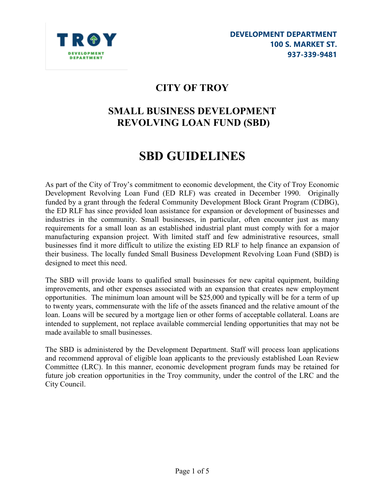

# CITY OF TROY

# SMALL BUSINESS DEVELOPMENT REVOLVING LOAN FUND (SBD)

# SBD GUIDELINES

As part of the City of Troy's commitment to economic development, the City of Troy Economic Development Revolving Loan Fund (ED RLF) was created in December 1990. Originally funded by a grant through the federal Community Development Block Grant Program (CDBG), the ED RLF has since provided loan assistance for expansion or development of businesses and industries in the community. Small businesses, in particular, often encounter just as many requirements for a small loan as an established industrial plant must comply with for a major manufacturing expansion project. With limited staff and few administrative resources, small businesses find it more difficult to utilize the existing ED RLF to help finance an expansion of their business. The locally funded Small Business Development Revolving Loan Fund (SBD) is designed to meet this need.

The SBD will provide loans to qualified small businesses for new capital equipment, building improvements, and other expenses associated with an expansion that creates new employment opportunities. The minimum loan amount will be \$25,000 and typically will be for a term of up to twenty years, commensurate with the life of the assets financed and the relative amount of the loan. Loans will be secured by a mortgage lien or other forms of acceptable collateral. Loans are intended to supplement, not replace available commercial lending opportunities that may not be made available to small businesses.

The SBD is administered by the Development Department. Staff will process loan applications and recommend approval of eligible loan applicants to the previously established Loan Review Committee (LRC). In this manner, economic development program funds may be retained for future job creation opportunities in the Troy community, under the control of the LRC and the City Council.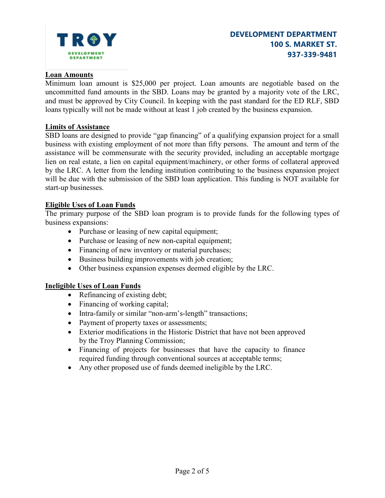

## Loan Amounts

Minimum loan amount is \$25,000 per project. Loan amounts are negotiable based on the uncommitted fund amounts in the SBD. Loans may be granted by a majority vote of the LRC, and must be approved by City Council. In keeping with the past standard for the ED RLF, SBD loans typically will not be made without at least 1 job created by the business expansion.

#### Limits of Assistance

SBD loans are designed to provide "gap financing" of a qualifying expansion project for a small business with existing employment of not more than fifty persons. The amount and term of the assistance will be commensurate with the security provided, including an acceptable mortgage lien on real estate, a lien on capital equipment/machinery, or other forms of collateral approved by the LRC. A letter from the lending institution contributing to the business expansion project will be due with the submission of the SBD loan application. This funding is NOT available for start-up businesses.

#### Eligible Uses of Loan Funds

The primary purpose of the SBD loan program is to provide funds for the following types of business expansions:

- Purchase or leasing of new capital equipment;
- Purchase or leasing of new non-capital equipment;
- Financing of new inventory or material purchases;
- Business building improvements with job creation;
- Other business expansion expenses deemed eligible by the LRC.

#### Ineligible Uses of Loan Funds

- Refinancing of existing debt;
- Financing of working capital;
- Intra-family or similar "non-arm's-length" transactions;
- Payment of property taxes or assessments;
- Exterior modifications in the Historic District that have not been approved by the Troy Planning Commission;
- Financing of projects for businesses that have the capacity to finance required funding through conventional sources at acceptable terms;
- Any other proposed use of funds deemed ineligible by the LRC.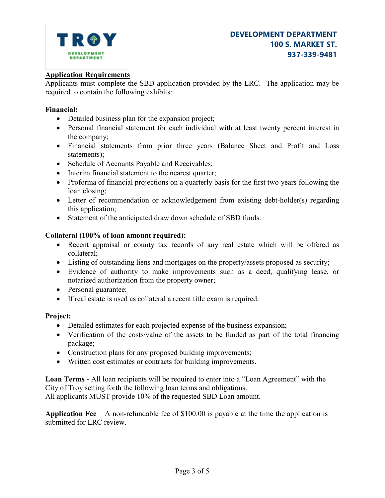

## Application Requirements

Applicants must complete the SBD application provided by the LRC. The application may be required to contain the following exhibits:

#### Financial:

- Detailed business plan for the expansion project;
- Personal financial statement for each individual with at least twenty percent interest in the company;
- Financial statements from prior three years (Balance Sheet and Profit and Loss statements);
- Schedule of Accounts Payable and Receivables;
- Interim financial statement to the nearest quarter;
- Proforma of financial projections on a quarterly basis for the first two years following the loan closing;
- Letter of recommendation or acknowledgement from existing debt-holder(s) regarding this application;
- Statement of the anticipated draw down schedule of SBD funds.

# Collateral (100% of loan amount required):

- Recent appraisal or county tax records of any real estate which will be offered as collateral;
- Listing of outstanding liens and mortgages on the property/assets proposed as security;
- Evidence of authority to make improvements such as a deed, qualifying lease, or notarized authorization from the property owner;
- Personal guarantee;
- If real estate is used as collateral a recent title exam is required.

# Project:

- Detailed estimates for each projected expense of the business expansion;
- Verification of the costs/value of the assets to be funded as part of the total financing package;
- Construction plans for any proposed building improvements;
- Written cost estimates or contracts for building improvements.

Loan Terms - All loan recipients will be required to enter into a "Loan Agreement" with the City of Troy setting forth the following loan terms and obligations. All applicants MUST provide 10% of the requested SBD Loan amount.

**Application Fee** – A non-refundable fee of \$100.00 is payable at the time the application is submitted for LRC review.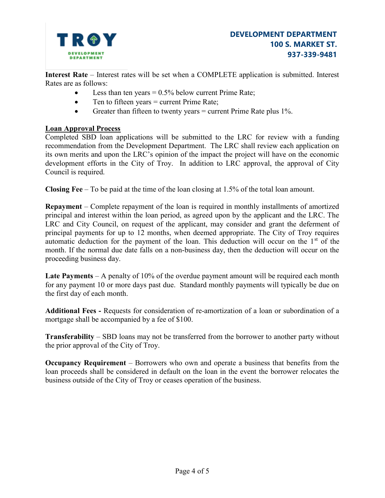

Interest Rate – Interest rates will be set when a COMPLETE application is submitted. Interest Rates are as follows:

- Less than ten years  $= 0.5\%$  below current Prime Rate;
- Ten to fifteen years = current Prime Rate;
- Greater than fifteen to twenty years  $=$  current Prime Rate plus 1%.

#### Loan Approval Process

Completed SBD loan applications will be submitted to the LRC for review with a funding recommendation from the Development Department. The LRC shall review each application on its own merits and upon the LRC's opinion of the impact the project will have on the economic development efforts in the City of Troy. In addition to LRC approval, the approval of City Council is required.

Closing Fee – To be paid at the time of the loan closing at 1.5% of the total loan amount.

Repayment – Complete repayment of the loan is required in monthly installments of amortized principal and interest within the loan period, as agreed upon by the applicant and the LRC. The LRC and City Council, on request of the applicant, may consider and grant the deferment of principal payments for up to 12 months, when deemed appropriate. The City of Troy requires automatic deduction for the payment of the loan. This deduction will occur on the  $1<sup>st</sup>$  of the month. If the normal due date falls on a non-business day, then the deduction will occur on the proceeding business day.

Late Payments – A penalty of 10% of the overdue payment amount will be required each month for any payment 10 or more days past due. Standard monthly payments will typically be due on the first day of each month.

Additional Fees - Requests for consideration of re-amortization of a loan or subordination of a mortgage shall be accompanied by a fee of \$100.

Transferability – SBD loans may not be transferred from the borrower to another party without the prior approval of the City of Troy.

Occupancy Requirement – Borrowers who own and operate a business that benefits from the loan proceeds shall be considered in default on the loan in the event the borrower relocates the business outside of the City of Troy or ceases operation of the business.